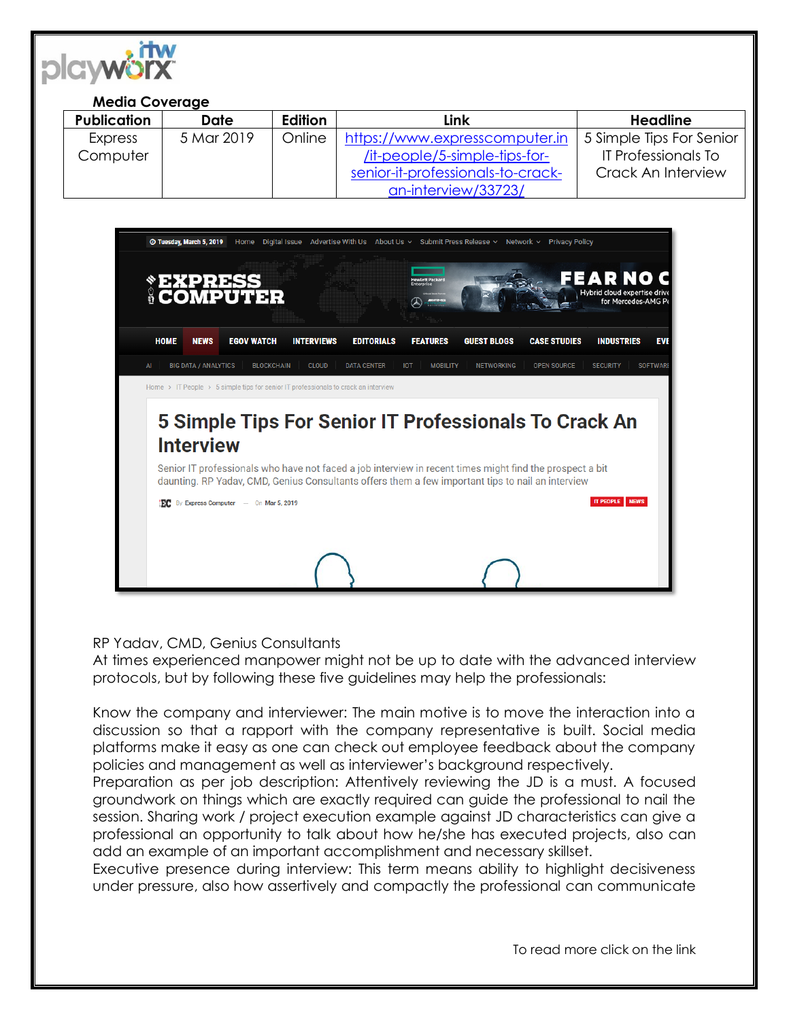

## **Media Coverage**

| <b>Publication</b> | <b>Date</b> | Edition | Link                              | <b>Headline</b>            |
|--------------------|-------------|---------|-----------------------------------|----------------------------|
| Express            | 5 Mar 2019  | Online  | https://www.expresscomputer.in    | 5 Simple Tips For Senior   |
| Computer           |             |         | /it-people/5-simple-tips-for-     | <b>IT Professionals To</b> |
|                    |             |         | senior-it-professionals-to-crack- | Crack An Interview         |
|                    |             |         | an-interview/33723/               |                            |



RP Yadav, CMD, Genius Consultants

At times experienced manpower might not be up to date with the advanced interview protocols, but by following these five guidelines may help the professionals:

Know the company and interviewer: The main motive is to move the interaction into a discussion so that a rapport with the company representative is built. Social media platforms make it easy as one can check out employee feedback about the company policies and management as well as interviewer's background respectively.

Preparation as per job description: Attentively reviewing the JD is a must. A focused groundwork on things which are exactly required can guide the professional to nail the session. Sharing work / project execution example against JD characteristics can give a professional an opportunity to talk about how he/she has executed projects, also can add an example of an important accomplishment and necessary skillset.

Executive presence during interview: This term means ability to highlight decisiveness under pressure, also how assertively and compactly the professional can communicate

To read more click on the link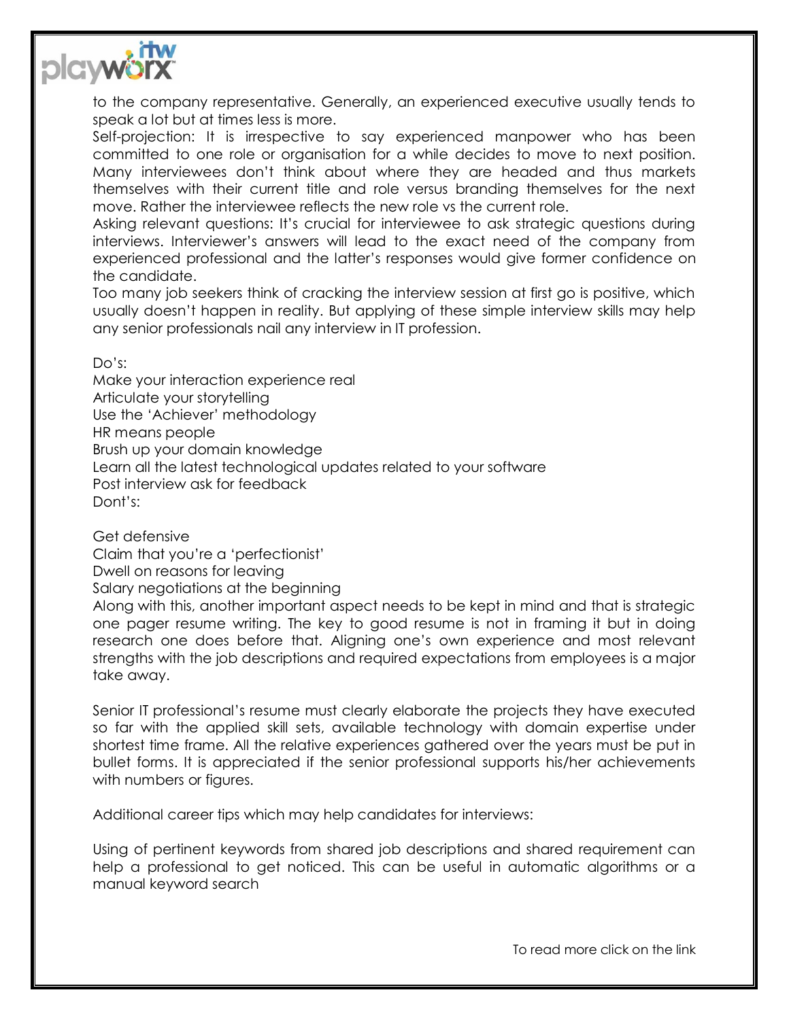

to the company representative. Generally, an experienced executive usually tends to speak a lot but at times less is more.

Self-projection: It is irrespective to say experienced manpower who has been committed to one role or organisation for a while decides to move to next position. Many interviewees don't think about where they are headed and thus markets themselves with their current title and role versus branding themselves for the next move. Rather the interviewee reflects the new role vs the current role.

Asking relevant questions: It's crucial for interviewee to ask strategic questions during interviews. Interviewer's answers will lead to the exact need of the company from experienced professional and the latter's responses would give former confidence on the candidate.

Too many job seekers think of cracking the interview session at first go is positive, which usually doesn't happen in reality. But applying of these simple interview skills may help any senior professionals nail any interview in IT profession.

Do's:

Make your interaction experience real Articulate your storytelling Use the 'Achiever' methodology HR means people Brush up your domain knowledge Learn all the latest technological updates related to your software Post interview ask for feedback Dont's:

Get defensive

Claim that you're a 'perfectionist'

Dwell on reasons for leaving

Salary negotiations at the beginning

Along with this, another important aspect needs to be kept in mind and that is strategic one pager resume writing. The key to good resume is not in framing it but in doing research one does before that. Aligning one's own experience and most relevant strengths with the job descriptions and required expectations from employees is a major take away.

Senior IT professional's resume must clearly elaborate the projects they have executed so far with the applied skill sets, available technology with domain expertise under shortest time frame. All the relative experiences gathered over the years must be put in bullet forms. It is appreciated if the senior professional supports his/her achievements with numbers or figures.

Additional career tips which may help candidates for interviews:

Using of pertinent keywords from shared job descriptions and shared requirement can help a professional to get noticed. This can be useful in automatic algorithms or a manual keyword search

To read more click on the link